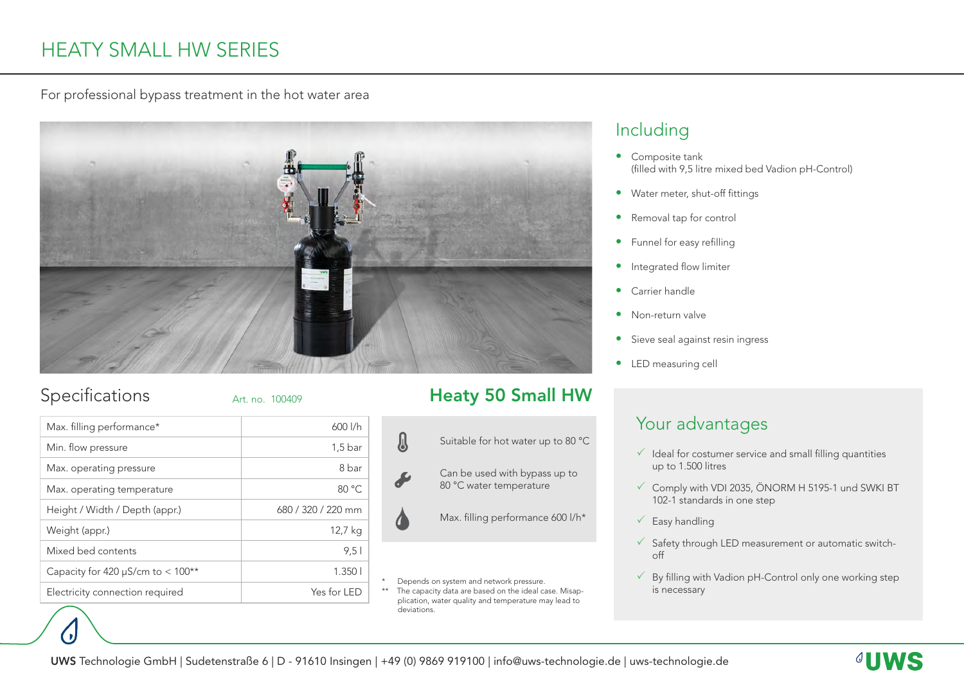# HEATY SMALL HW SERIES

For professional bypass treatment in the hot water area



### Specifications

Art. no. 100409

| Max. filling performance*              | $600$ $1/h$        |
|----------------------------------------|--------------------|
| Min. flow pressure                     | $1,5$ bar          |
| Max. operating pressure                | 8 bar              |
| Max. operating temperature             | 80 °C              |
| Height / Width / Depth (appr.)         | 680 / 320 / 220 mm |
| Weight (appr.)                         | 12,7 kg            |
| Mixed bed contents                     | 9.51               |
| Capacity for 420 $\mu$ S/cm to < 100** | 1.3501             |
| Electricity connection required        | Yes for LED        |

# Heaty 50 Small HW



\* Depends on system and network pressure.<br>\*\* The capacity data are based on the ideal ca

The capacity data are based on the ideal case. Misapplication, water quality and temperature may lead to deviations.

### Including

- Composite tank (filled with 9,5 litre mixed bed Vadion pH-Control)
- Water meter, shut-off fittings
- Removal tap for control
- Funnel for easy refilling
- **•** Integrated flow limiter
- Carrier handle
- Non-return valve
- Sieve seal against resin ingress
- LED measuring cell

# Your advantages

- $\checkmark$  Ideal for costumer service and small filling quantities up to 1.500 litres
- $\checkmark$  Comply with VDI 2035, ÖNORM H 5195-1 und SWKI BT 102-1 standards in one step
- $\checkmark$  Easy handling
- $\checkmark$  Safety through LED measurement or automatic switchoff
- $\checkmark$  By filling with Vadion pH-Control only one working step is necessary